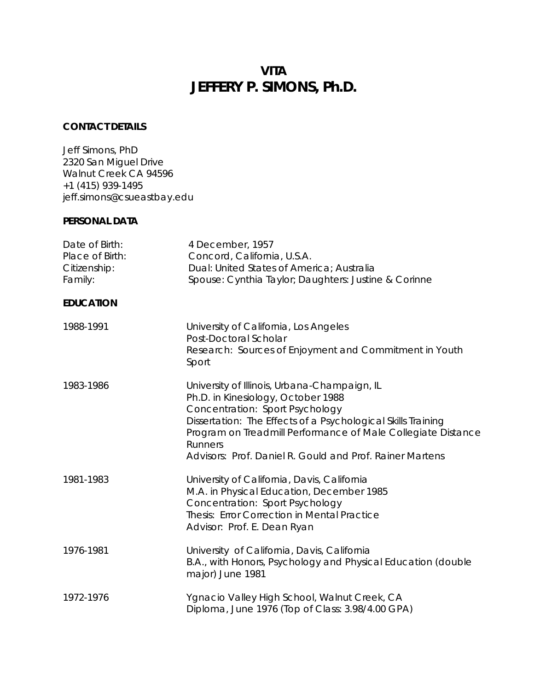# **VITA JEFFERY P. SIMONS, Ph.D.**

# **CONTACT DETAILS**

Jeff Simons, PhD 2320 San Miguel Drive Walnut Creek CA 94596 +1 (415) 939-1495 jeff.simons@csueastbay.edu

# **PERSONAL DATA**

| Date of Birth:<br>Place of Birth:<br>Citizenship:<br>Family: | 4 December, 1957<br>Concord, California, U.S.A.<br>Dual: United States of America; Australia<br>Spouse: Cynthia Taylor; Daughters: Justine & Corinne                                                                                                                                                                                |
|--------------------------------------------------------------|-------------------------------------------------------------------------------------------------------------------------------------------------------------------------------------------------------------------------------------------------------------------------------------------------------------------------------------|
| <b>EDUCATION</b>                                             |                                                                                                                                                                                                                                                                                                                                     |
| 1988-1991                                                    | University of California, Los Angeles<br>Post-Doctoral Scholar<br>Research: Sources of Enjoyment and Commitment in Youth<br>Sport                                                                                                                                                                                                   |
| 1983-1986                                                    | University of Illinois, Urbana-Champaign, IL<br>Ph.D. in Kinesiology, October 1988<br>Concentration: Sport Psychology<br>Dissertation: The Effects of a Psychological Skills Training<br>Program on Treadmill Performance of Male Collegiate Distance<br><b>Runners</b><br>Advisors: Prof. Daniel R. Gould and Prof. Rainer Martens |
| 1981-1983                                                    | University of California, Davis, California<br>M.A. in Physical Education, December 1985<br>Concentration: Sport Psychology<br>Thesis: Error Correction in Mental Practice<br>Advisor: Prof. E. Dean Ryan                                                                                                                           |
| 1976-1981                                                    | University of California, Davis, California<br>B.A., with Honors, Psychology and Physical Education (double<br>major) June 1981                                                                                                                                                                                                     |
| 1972-1976                                                    | Ygnacio Valley High School, Walnut Creek, CA<br>Diploma, June 1976 (Top of Class: 3.98/4.00 GPA)                                                                                                                                                                                                                                    |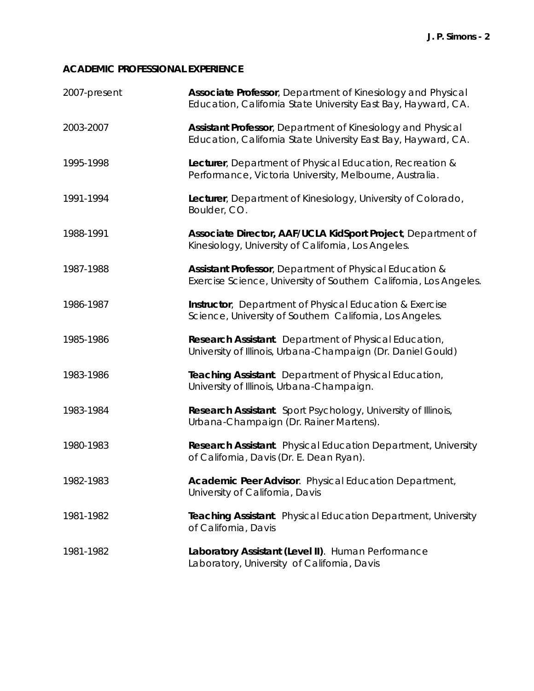# **ACADEMIC PROFESSIONAL EXPERIENCE**

| 2007-present | Associate Professor, Department of Kinesiology and Physical<br>Education, California State University East Bay, Hayward, CA. |
|--------------|------------------------------------------------------------------------------------------------------------------------------|
| 2003-2007    | Assistant Professor, Department of Kinesiology and Physical<br>Education, California State University East Bay, Hayward, CA. |
| 1995-1998    | Lecturer, Department of Physical Education, Recreation &<br>Performance, Victoria University, Melbourne, Australia.          |
| 1991-1994    | Lecturer, Department of Kinesiology, University of Colorado,<br>Boulder, CO.                                                 |
| 1988-1991    | Associate Director, AAF/UCLA KidSport Project, Department of<br>Kinesiology, University of California, Los Angeles.          |
| 1987-1988    | Assistant Professor, Department of Physical Education &<br>Exercise Science, University of Southern California, Los Angeles. |
| 1986-1987    | Instructor, Department of Physical Education & Exercise<br>Science, University of Southern California, Los Angeles.          |
| 1985-1986    | Research Assistant. Department of Physical Education,<br>University of Illinois, Urbana-Champaign (Dr. Daniel Gould)         |
| 1983-1986    | Teaching Assistant. Department of Physical Education,<br>University of Illinois, Urbana-Champaign.                           |
| 1983-1984    | Research Assistant. Sport Psychology, University of Illinois,<br>Urbana-Champaign (Dr. Rainer Martens).                      |
| 1980-1983    | Research Assistant. Physical Education Department, University<br>of California, Davis (Dr. E. Dean Ryan).                    |
| 1982-1983    | Academic Peer Advisor. Physical Education Department,<br>University of California, Davis                                     |
| 1981-1982    | Teaching Assistant. Physical Education Department, University<br>of California, Davis                                        |
| 1981-1982    | Laboratory Assistant (Level II). Human Performance<br>Laboratory, University of California, Davis                            |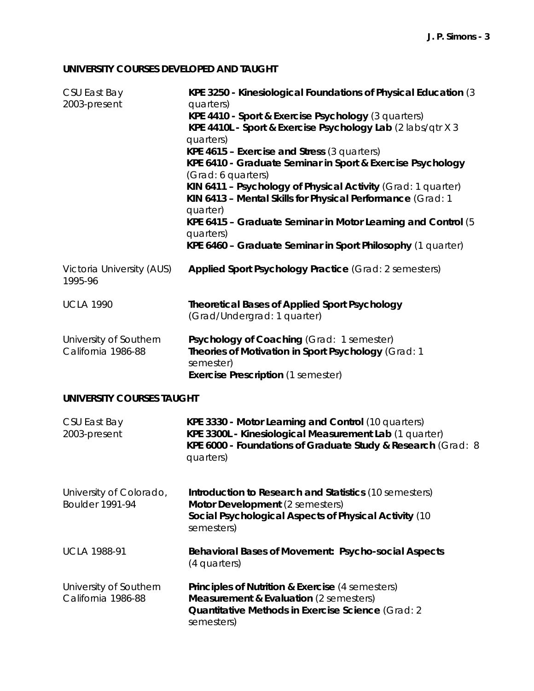# **UNIVERSITY COURSES DEVELOPED AND TAUGHT**

| CSU East Bay<br>2003-present                      | KPE 3250 - Kinesiological Foundations of Physical Education (3)<br>quarters)<br>KPE 4410 - Sport & Exercise Psychology (3 quarters)<br>KPE 4410L - Sport & Exercise Psychology Lab (2 labs/qtr X 3<br>quarters)<br>KPE 4615 - Exercise and Stress (3 quarters)<br>KPE 6410 - Graduate Seminar in Sport & Exercise Psychology<br>(Grad: 6 quarters)<br>KIN 6411 - Psychology of Physical Activity (Grad: 1 quarter)<br>KIN 6413 - Mental Skills for Physical Performance (Grad: 1<br>quarter)<br>KPE 6415 - Graduate Seminar in Motor Learning and Control (5)<br>quarters)<br>KPE 6460 - Graduate Seminar in Sport Philosophy (1 quarter) |
|---------------------------------------------------|-------------------------------------------------------------------------------------------------------------------------------------------------------------------------------------------------------------------------------------------------------------------------------------------------------------------------------------------------------------------------------------------------------------------------------------------------------------------------------------------------------------------------------------------------------------------------------------------------------------------------------------------|
| Victoria University (AUS)<br>1995-96              | Applied Sport Psychology Practice (Grad: 2 semesters)                                                                                                                                                                                                                                                                                                                                                                                                                                                                                                                                                                                     |
| <b>UCLA 1990</b>                                  | <b>Theoretical Bases of Applied Sport Psychology</b><br>(Grad/Undergrad: 1 quarter)                                                                                                                                                                                                                                                                                                                                                                                                                                                                                                                                                       |
| University of Southern<br>California 1986-88      | Psychology of Coaching (Grad: 1 semester)<br>Theories of Motivation in Sport Psychology (Grad: 1<br>semester)<br><b>Exercise Prescription (1 semester)</b>                                                                                                                                                                                                                                                                                                                                                                                                                                                                                |
| <b>UNIVERSITY COURSES TAUGHT</b>                  |                                                                                                                                                                                                                                                                                                                                                                                                                                                                                                                                                                                                                                           |
| CSU East Bay<br>2003-present                      | KPE 3330 - Motor Learning and Control (10 quarters)<br>KPE 3300L - Kinesiological Measurement Lab (1 quarter)<br>KPE 6000 - Foundations of Graduate Study & Research (Grad: 8<br>quarters)                                                                                                                                                                                                                                                                                                                                                                                                                                                |
| University of Colorado,<br><b>Boulder 1991-94</b> | Introduction to Research and Statistics (10 semesters)<br>Motor Development (2 semesters)<br>Social Psychological Aspects of Physical Activity (10<br>semesters)                                                                                                                                                                                                                                                                                                                                                                                                                                                                          |
| <b>UCLA 1988-91</b>                               | Behavioral Bases of Movement: Psycho-social Aspects<br>(4 quarters)                                                                                                                                                                                                                                                                                                                                                                                                                                                                                                                                                                       |
| University of Southern<br>California 1986-88      | <b>Principles of Nutrition &amp; Exercise (4 semesters)</b><br><b>Measurement &amp; Evaluation</b> (2 semesters)<br>Quantitative Methods in Exercise Science (Grad: 2<br>semesters)                                                                                                                                                                                                                                                                                                                                                                                                                                                       |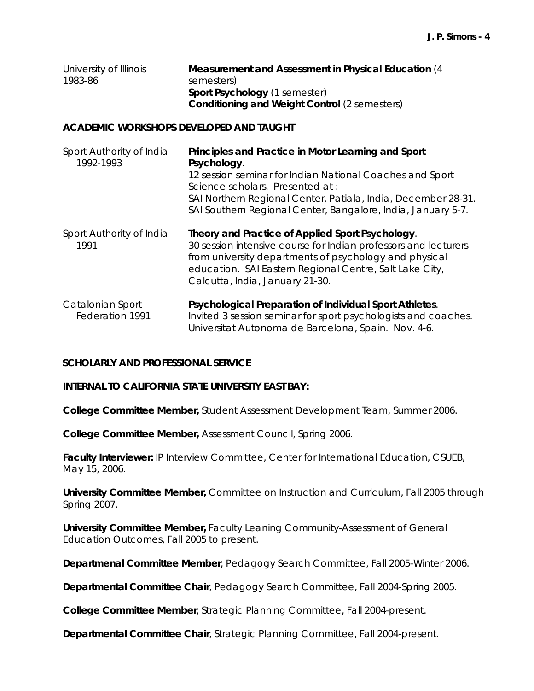| University of Illinois | Measurement and Assessment in Physical Education (4  |
|------------------------|------------------------------------------------------|
| 1983-86                | semesters)                                           |
|                        | <b>Sport Psychology</b> (1 semester)                 |
|                        | <b>Conditioning and Weight Control (2 semesters)</b> |

#### **ACADEMIC WORKSHOPS DEVELOPED AND TAUGHT**

| Sport Authority of India<br>1992-1993 | Principles and Practice in Motor Learning and Sport<br>Psychology.<br>12 session seminar for Indian National Coaches and Sport<br>Science scholars. Presented at:<br>SAI Northern Regional Center, Patiala, India, December 28-31.<br>SAI Southern Regional Center, Bangalore, India, January 5-7. |
|---------------------------------------|----------------------------------------------------------------------------------------------------------------------------------------------------------------------------------------------------------------------------------------------------------------------------------------------------|
| Sport Authority of India<br>1991      | Theory and Practice of Applied Sport Psychology.<br>30 session intensive course for Indian professors and lecturers<br>from university departments of psychology and physical<br>education. SAI Eastern Regional Centre, Salt Lake City,<br>Calcutta, India, January 21-30.                        |
| Catalonian Sport<br>Federation 1991   | Psychological Preparation of Individual Sport Athletes.<br>Invited 3 session seminar for sport psychologists and coaches.<br>Universitat Autonoma de Barcelona, Spain. Nov. 4-6.                                                                                                                   |

## **SCHOLARLY AND PROFESSIONAL SERVICE**

*INTERNAL TO CALIFORNIA STATE UNIVERSITY EAST BAY:* 

**College Committee Member,** Student Assessment Development Team, Summer 2006.

**College Committee Member,** Assessment Council, Spring 2006.

Faculty Interviewer: IP Interview Committee, Center for International Education, CSUEB, May 15, 2006.

**University Committee Member,** Committee on Instruction and Curriculum, Fall 2005 through Spring 2007.

**University Committee Member,** Faculty Leaning Community-Assessment of General Education Outcomes, Fall 2005 to present.

**Departmenal Committee Member**, Pedagogy Search Committee, Fall 2005-Winter 2006.

**Departmental Committee Chair**, Pedagogy Search Committee, Fall 2004-Spring 2005.

**College Committee Member**, Strategic Planning Committee, Fall 2004-present.

**Departmental Committee Chair**, Strategic Planning Committee, Fall 2004-present.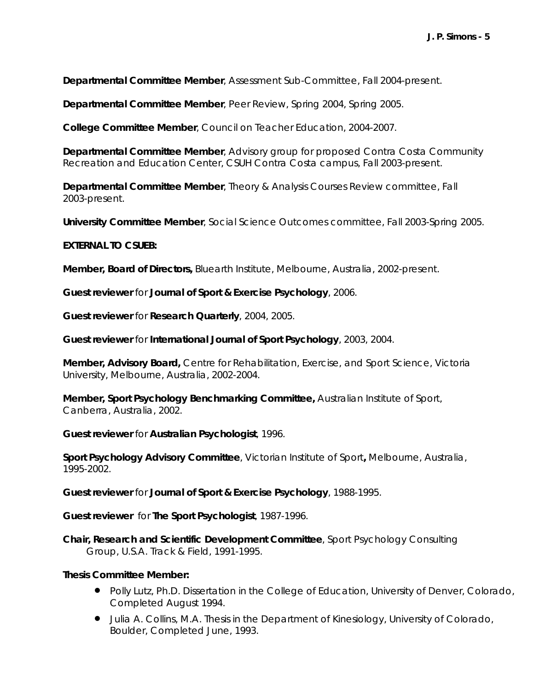**Departmental Committee Member**, Assessment Sub-Committee, Fall 2004-present.

**Departmental Committee Member**, Peer Review, Spring 2004, Spring 2005.

**College Committee Member**, Council on Teacher Education, 2004-2007.

**Departmental Committee Member**, Advisory group for proposed Contra Costa Community Recreation and Education Center, CSUH Contra Costa campus, Fall 2003-present.

**Departmental Committee Member**, Theory & Analysis Courses Review committee, Fall 2003-present.

**University Committee Member**, Social Science Outcomes committee, Fall 2003-Spring 2005.

#### *EXTERNAL TO CSUEB:*

**Member, Board of Directors,** *Bluearth Institute*, Melbourne, Australia, 2002-present.

**Guest reviewer** for *Journal of Sport & Exercise Psychology*, 2006.

**Guest reviewer** for *Research Quarterly,* 2004, 2005.

**Guest reviewer** for *International Journal of Sport Psychology*, 2003, 2004.

**Member, Advisory Board,** *Centre for Rehabilitation, Exercise, and Sport Science*, Victoria University, Melbourne, Australia, 2002-2004.

**Member, Sport Psychology Benchmarking Committee,** *Australian Institute of Sport,*  Canberra, Australia, 2002.

**Guest reviewer** for *Australian Psychologist*, 1996.

**Sport Psychology Advisory Committee**, *Victorian Institute of Sport***,** Melbourne, Australia, 1995-2002.

**Guest reviewer** for *Journal of Sport & Exercise Psychology*, 1988-1995.

**Guest reviewer** for *The Sport Psychologist*, 1987-1996.

**Chair, Research and Scientific Development Committee**, Sport Psychology Consulting Group, U.S.A. Track & Field, 1991-1995.

#### **Thesis Committee Member:**

- Polly Lutz, Ph.D. Dissertation in the College of Education, University of Denver, Colorado, Completed August 1994.
- Julia A. Collins, M.A. Thesis in the Department of Kinesiology, University of Colorado, Boulder, Completed June, 1993.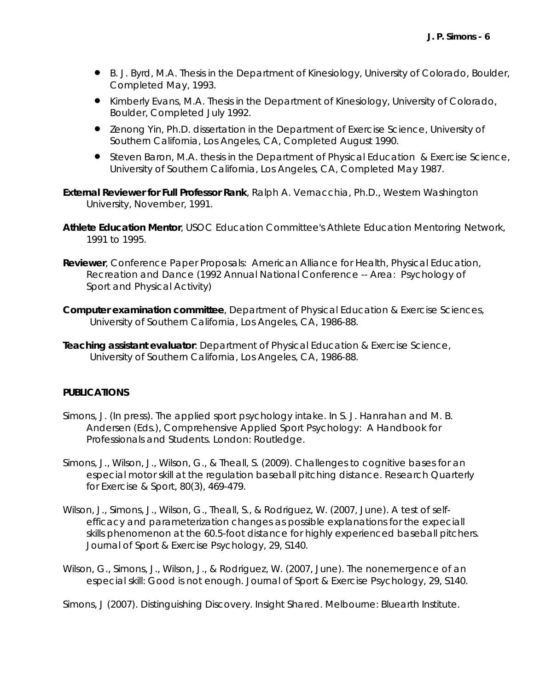- B. J. Byrd, M.A. Thesis in the Department of Kinesiology, University of Colorado, Boulder, Completed May, 1993.
- Kimberly Evans, M.A. Thesis in the Department of Kinesiology, University of Colorado, Boulder, Completed July 1992.
- Zenong Yin, Ph.D. dissertation in the Department of Exercise Science, University of Southern California, Los Angeles, CA, Completed August 1990.
- **Steven Baron, M.A. thesis in the Department of Physical Education & Exercise Science,** University of Southern California, Los Angeles, CA, Completed May 1987.
- **External Reviewer for Full Professor Rank**, Ralph A. Vernacchia, Ph.D., Western Washington University, November, 1991.
- **Athlete Education Mentor**, USOC Education Committee's Athlete Education Mentoring Network, 1991 to 1995.
- **Reviewer**, Conference Paper Proposals: American Alliance for Health, Physical Education, Recreation and Dance (1992 Annual National Conference -- Area: Psychology of Sport and Physical Activity)
- **Computer examination committee**, Department of Physical Education & Exercise Sciences, University of Southern California, Los Angeles, CA, 1986-88.
- **Teaching assistant evaluator**: Department of Physical Education & Exercise Science, University of Southern California, Los Angeles, CA, 1986-88.

#### **PUBLICATIONS**

- Simons, J. (In press). The applied sport psychology intake. In S. J. Hanrahan and M. B. Andersen (Eds.), *Comprehensive Applied Sport Psychology: A Handbook for Professionals and Students.* London: Routledge.
- Simons, J., Wilson, J., Wilson, G., & Theall, S. (2009). Challenges to cognitive bases for an especial motor skill at the regulation baseball pitching distance. *Research Quarterly for Exercise & Sport, 80(3),* 469-479.
- Wilson, J., Simons, J., Wilson, G., Theall, S., & Rodriguez, W. (2007, June). A test of selfefficacy and parameterization changes as possible explanations for the expeciall skills phenomenon at the 60.5-foot distance for highly experienced baseball pitchers. *Journal of Sport & Exercise Psychology, 29*, S140.
- Wilson, G., Simons, J., Wilson, J., & Rodriguez, W. (2007, June). The nonemergence of an especial skill: Good is not enough. *Journal of Sport & Exercise Psychology, 29*, S140.

Simons, J (2007). Distinguishing Discovery. *Insight Shared*. Melbourne: Bluearth Institute.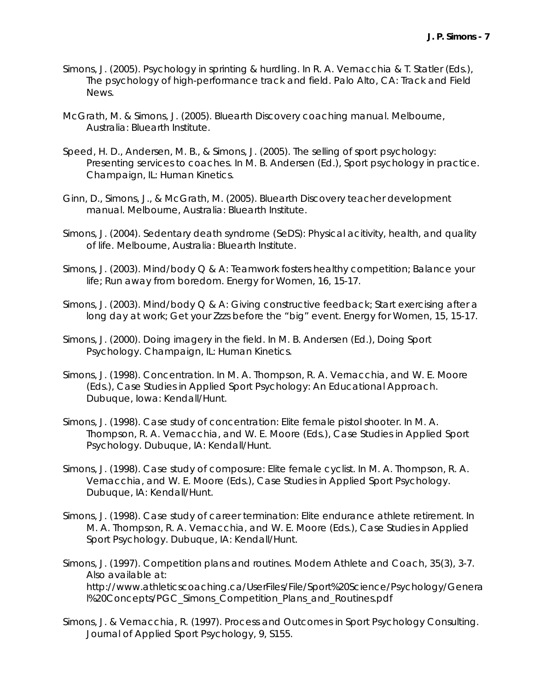- Simons, J. (2005). Psychology in sprinting & hurdling. In R. A. Vernacchia & T. Statler (Eds.), *The psychology of high-performance track and field*. Palo Alto, CA: Track and Field News.
- McGrath, M. & Simons, J. (2005). *Bluearth Discovery coaching manual.* Melbourne, Australia: Bluearth Institute.
- Speed, H. D., Andersen, M. B., & Simons, J. (2005). The selling of sport psychology: Presenting services to coaches. In M. B. Andersen (Ed.), *Sport psychology in practice.* Champaign, IL: Human Kinetics.
- Ginn, D., Simons, J., & McGrath, M. (2005). *Bluearth Discovery teacher development manual.* Melbourne, Australia: Bluearth Institute.
- Simons, J. (2004). *Sedentary death syndrome (SeDS): Physical acitivity, health, and quality of life.* Melbourne, Australia: Bluearth Institute.
- Simons, J. (2003). Mind/body Q & A: Teamwork fosters healthy competition; Balance your life; Run away from boredom. *Energy for Women, 16*, 15-17.
- Simons, J. (2003). Mind/body Q & A: Giving constructive feedback; Start exercising after a long day at work; Get your Zzzs before the "big" event. *Energy for Women, 15*, 15-17.
- Simons, J. (2000). Doing imagery in the field. In M. B. Andersen (Ed.), *Doing Sport Psychology*. Champaign, IL: Human Kinetics.
- Simons, J. (1998). Concentration. In M. A. Thompson, R. A. Vernacchia, and W. E. Moore (Eds.), *Case Studies in Applied Sport Psychology: An Educational Approach.*  Dubuque, Iowa: Kendall/Hunt*.*
- Simons, J. (1998). Case study of concentration: Elite female pistol shooter. In M. A. Thompson, R. A. Vernacchia, and W. E. Moore (Eds.), *Case Studies in Applied Sport Psychology*. Dubuque, IA: Kendall/Hunt.
- Simons, J. (1998). Case study of composure: Elite female cyclist. In M. A. Thompson, R. A. Vernacchia, and W. E. Moore (Eds.), *Case Studies in Applied Sport Psychology*. Dubuque, IA: Kendall/Hunt.
- Simons, J. (1998). Case study of career termination: Elite endurance athlete retirement. In M. A. Thompson, R. A. Vernacchia, and W. E. Moore (Eds.), *Case Studies in Applied Sport Psychology*. Dubuque, IA: Kendall/Hunt.
- Simons, J. (1997). Competition plans and routines. *Modern Athlete and Coach, 35(3),* 3-7. Also available at: http://www.athleticscoaching.ca/UserFiles/File/Sport%20Science/Psychology/Genera l%20Concepts/PGC\_Simons\_Competition\_Plans\_and\_Routines.pdf
- Simons, J. & Vernacchia, R. (1997). Process and Outcomes in Sport Psychology Consulting. *Journal of Applied Sport Psychology, 9,* S155.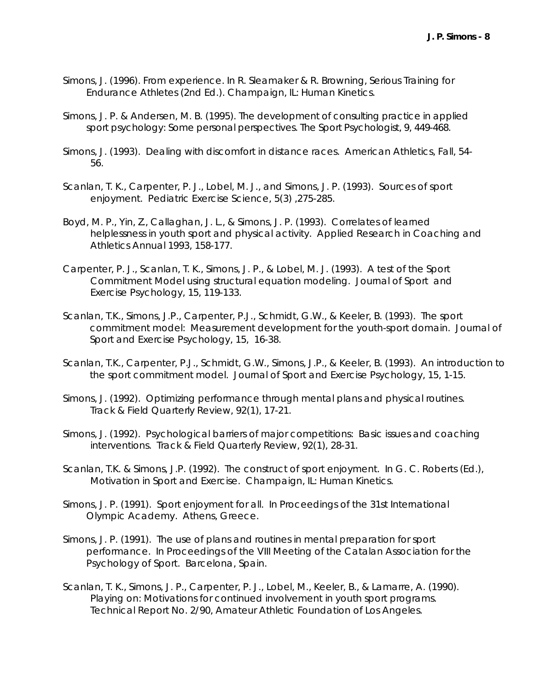- Simons, J. (1996). From experience. In R. Sleamaker & R. Browning, *Serious Training for Endurance Athletes* (2nd Ed.). Champaign, IL: Human Kinetics*.*
- Simons, J. P. & Andersen, M. B. (1995). The development of consulting practice in applied sport psychology: Some personal perspectives. *The Sport Psychologist, 9,* 449-468*.*
- Simons, J. (1993). Dealing with discomfort in distance races. *American Athletics*, Fall, 54- 56.
- Scanlan, T. K., Carpenter, P. J., Lobel, M. J., and Simons, J. P. (1993). Sources of sport enjoyment. *Pediatric Exercise Science, 5(3)* ,275-285.
- Boyd, M. P., Yin, Z., Callaghan, J. L., & Simons, J. P. (1993). Correlates of learned helplessness in youth sport and physical activity. *Applied Research in Coaching and Athletics Annual 1993*, 158-177.
- Carpenter, P. J., Scanlan, T. K., Simons, J. P., & Lobel, M. J. (1993). A test of the Sport Commitment Model using structural equation modeling. *Journal of Sport and Exercise Psychology, 15*, 119-133.
- Scanlan, T.K., Simons, J.P., Carpenter, P.J., Schmidt, G.W., & Keeler, B. (1993). The sport commitment model: Measurement development for the youth-sport domain. *Journal of Sport and Exercise Psychology, 15,* 16-38.
- Scanlan, T.K., Carpenter, P.J., Schmidt, G.W., Simons, J.P., & Keeler, B. (1993). An introduction to the sport commitment model. *Journal of Sport and Exercise Psychology, 15,* 1-15.
- Simons, J. (1992). Optimizing performance through mental plans and physical routines. *Track & Field Quarterly Review, 92(1),* 17-21.
- Simons, J. (1992). Psychological barriers of major competitions: Basic issues and coaching interventions. *Track & Field Quarterly Review, 92(1),* 28-31.
- Scanlan, T.K. & Simons, J.P. (1992). The construct of sport enjoyment. In G. C. Roberts (Ed.), *Motivation in Sport and Exercise.* Champaign, IL: Human Kinetics*.*
- Simons, J. P. (1991). Sport enjoyment for all. In *Proceedings of the 31st International Olympic Academy*. Athens, Greece.
- Simons, J. P. (1991). The use of plans and routines in mental preparation for sport performance. In *Proceedings of the VIII Meeting of the Catalan Association for the Psychology of Sport.* Barcelona, Spain.
- Scanlan, T. K., Simons, J. P., Carpenter, P. J., Lobel, M., Keeler, B., & Lamarre, A. (1990). *Playing on: Motivations for continued involvement in youth sport programs*. Technical Report No. 2/90, Amateur Athletic Foundation of Los Angeles.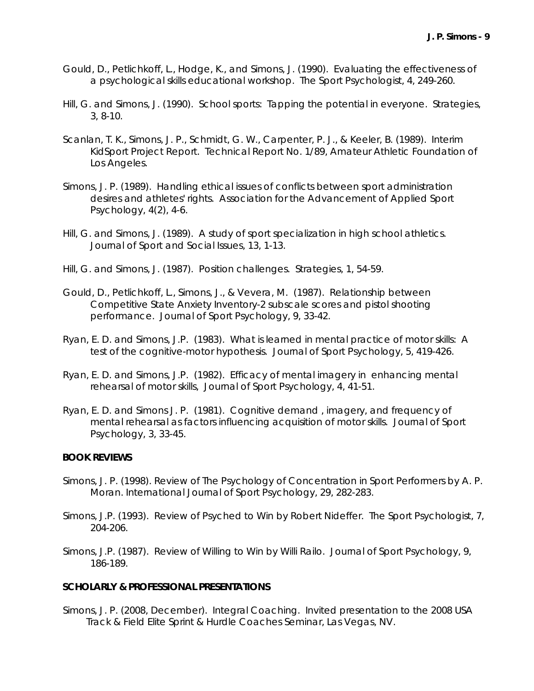- Gould, D., Petlichkoff, L., Hodge, K., and Simons, J. (1990). Evaluating the effectiveness of a psychological skills educational workshop. *The Sport Psychologist, 4*, 249-260.
- Hill, G. and Simons, J. (1990). School sports: Tapping the potential in everyone. *Strategies, 3,* 8-10.
- Scanlan, T. K., Simons, J. P., Schmidt, G. W., Carpenter, P. J., & Keeler, B. (1989). *Interim KidSport Project Report*. Technical Report No. 1/89, Amateur Athletic Foundation of Los Angeles.
- Simons, J. P. (1989). Handling ethical issues of conflicts between sport administration desires and athletes' rights. *Association for the Advancement of Applied Sport Psychology, 4(2),* 4-6.
- Hill, G. and Simons, J. (1989). A study of sport specialization in high school athletics. *Journal of Sport and Social Issues, 13*, 1-13.
- Hill, G. and Simons, J. (1987). Position challenges. *Strategies, 1,* 54-59.
- Gould, D., Petlichkoff, L., Simons, J., & Vevera, M. (1987). Relationship between Competitive State Anxiety Inventory-2 subscale scores and pistol shooting performance. *Journal of Sport Psychology, 9*, 33-42.
- Ryan, E. D. and Simons, J.P. (1983). What is learned in mental practice of motor skills: A test of the cognitive-motor hypothesis. *Journal of Sport Psychology, 5*, 419-426.
- Ryan, E. D. and Simons, J.P. (1982). Efficacy of mental imagery in enhancing mental rehearsal of motor skills, *Journal of Sport Psychology, 4*, 41-51.
- Ryan, E. D. and Simons J. P. (1981). Cognitive demand , imagery, and frequency of mental rehearsal as factors influencing acquisition of motor skills. *Journal of Sport Psychology, 3*, 33-45.

#### **BOOK REVIEWS**

- Simons, J. P. (1998). Review of *The Psychology of Concentration in Sport Performers* by A. P. Moran. *International Journal of Sport Psychology*, *29*, 282-283.
- Simons, J.P. (1993). Review of *Psyched to Win* by Robert Nideffer. *The Sport Psychologist, 7,*  204-206.
- Simons, J.P. (1987). Review of *Willing to Win* by Willi Railo. *Journal of Sport Psychology, 9*, 186-189.

#### **SCHOLARLY & PROFESSIONAL PRESENTATIONS**

Simons, J. P. (2008, December). *Integral Coaching*. Invited presentation to the 2008 USA Track & Field Elite Sprint & Hurdle Coaches Seminar, Las Vegas, NV.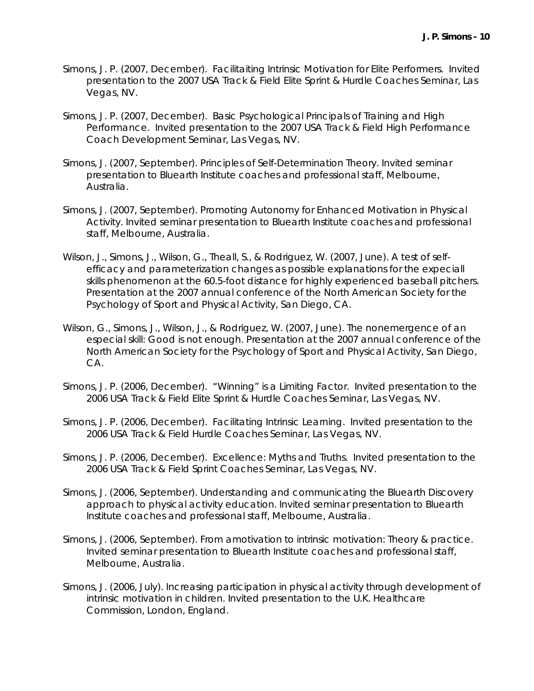- Simons, J. P. (2007, December). *Facilitaiting Intrinsic Motivation for Elite Performers*. Invited presentation to the 2007 USA Track & Field Elite Sprint & Hurdle Coaches Seminar, Las Vegas, NV.
- Simons, J. P. (2007, December). *Basic Psychological Principals of Training and High Performance*. Invited presentation to the 2007 USA Track & Field High Performance Coach Development Seminar, Las Vegas, NV.
- Simons, J. (2007, September). *Principles of Self-Determination Theory.* Invited seminar presentation to Bluearth Institute coaches and professional staff, Melbourne, Australia.
- Simons, J. (2007, September). *Promoting Autonomy for Enhanced Motivation in Physical Activity.* Invited seminar presentation to Bluearth Institute coaches and professional staff, Melbourne, Australia.
- Wilson, J., Simons, J., Wilson, G., Theall, S., & Rodriguez, W. (2007, June). *A test of selfefficacy and parameterization changes as possible explanations for the expeciall skills phenomenon at the 60.5-foot distance for highly experienced baseball pitchers*. Presentation at the 2007 annual conference of the North American Society for the Psychology of Sport and Physical Activity, San Diego, CA.
- Wilson, G., Simons, J., Wilson, J., & Rodriguez, W. (2007, June). *The nonemergence of an especial skill: Good is not enough*. Presentation at the 2007 annual conference of the North American Society for the Psychology of Sport and Physical Activity, San Diego, CA.
- Simons, J. P. (2006, December). *"Winning" is a Limiting Factor*. Invited presentation to the 2006 USA Track & Field Elite Sprint & Hurdle Coaches Seminar, Las Vegas, NV.
- Simons, J. P. (2006, December). *Facilitating Intrinsic Learning*. Invited presentation to the 2006 USA Track & Field Hurdle Coaches Seminar, Las Vegas, NV.
- Simons, J. P. (2006, December). *Excellence: Myths and Truths*. Invited presentation to the 2006 USA Track & Field Sprint Coaches Seminar, Las Vegas, NV.
- Simons, J. (2006, September). *Understanding and communicating the Bluearth Discovery approach to physical activity education.* Invited seminar presentation to Bluearth Institute coaches and professional staff, Melbourne, Australia.
- Simons, J. (2006, September). *From amotivation to intrinsic motivation: Theory & practice.* Invited seminar presentation to Bluearth Institute coaches and professional staff, Melbourne, Australia.
- Simons, J. (2006, July). *Increasing participation in physical activity through development of intrinsic motivation in children.* Invited presentation to the U.K. Healthcare Commission, London, England.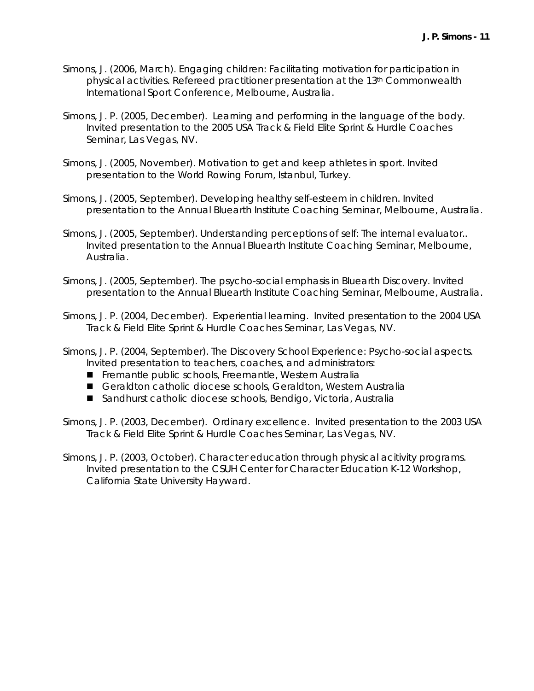- Simons, J. (2006, March). *Engaging children: Facilitating motivation for participation in physical activities.* Refereed practitioner presentation at the 13th Commonwealth International Sport Conference, Melbourne, Australia.
- Simons, J. P. (2005, December). *Learning and performing in the language of the body*. Invited presentation to the 2005 USA Track & Field Elite Sprint & Hurdle Coaches Seminar, Las Vegas, NV.
- Simons, J. (2005, November). *Motivation to get and keep athletes in sport*. Invited presentation to the World Rowing Forum, Istanbul, Turkey.
- Simons, J. (2005, September). *Developing healthy self-esteem in children.* Invited presentation to the Annual Bluearth Institute Coaching Seminar, Melbourne, Australia.
- Simons, J. (2005, September). *Understanding perceptions of self: The internal evaluator..* Invited presentation to the Annual Bluearth Institute Coaching Seminar, Melbourne, Australia.
- Simons, J. (2005, September). *The psycho-social emphasis in Bluearth Discovery.* Invited presentation to the Annual Bluearth Institute Coaching Seminar, Melbourne, Australia.
- Simons, J. P. (2004, December). *Experiential learning*. Invited presentation to the 2004 USA Track & Field Elite Sprint & Hurdle Coaches Seminar, Las Vegas, NV.
- Simons, J. P. (2004, September). *The Discovery School Experience: Psycho-social aspects*. Invited presentation to teachers, coaches, and administrators:
	- Fremantle public schools, Freemantle, Western Australia
	- Geraldton catholic diocese schools, Geraldton, Western Australia
	- Sandhurst catholic diocese schools, Bendigo, Victoria, Australia
- Simons, J. P. (2003, December). *Ordinary excellence*. Invited presentation to the 2003 USA Track & Field Elite Sprint & Hurdle Coaches Seminar, Las Vegas, NV.
- Simons, J. P. (2003, October). *Character education through physical acitivity programs*. Invited presentation to the CSUH Center for Character Education K-12 Workshop, California State University Hayward.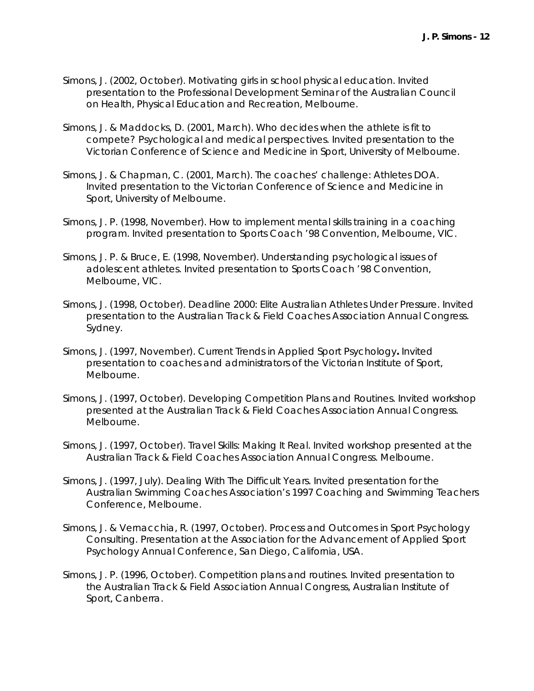- Simons, J. (2002, October). *Motivating girls in school physical education*. Invited presentation to the Professional Development Seminar of the Australian Council on Health, Physical Education and Recreation, Melbourne.
- Simons, J. & Maddocks, D. (2001, March). *Who decides when the athlete is fit to compete? Psychological and medical perspectives.* Invited presentation to the Victorian Conference of Science and Medicine in Sport, University of Melbourne.
- Simons, J. & Chapman, C. (2001, March). *The coaches' challenge: Athletes DOA.* Invited presentation to the Victorian Conference of Science and Medicine in Sport, University of Melbourne.
- Simons, J. P. (1998, November). *How to implement mental skills training in a coaching program.* Invited presentation to Sports Coach '98 Convention, Melbourne, VIC.
- Simons, J. P. & Bruce, E. (1998, November). *Understanding psychological issues of adolescent athletes.* Invited presentation to Sports Coach '98 Convention, Melbourne, VIC.
- Simons, J. (1998, October). *Deadline 2000: Elite Australian Athletes Under Pressure*. Invited presentation to the Australian Track & Field Coaches Association Annual Congress. Sydney.
- Simons, J. (1997, November). *Current Trends in Applied Sport Psychology.* Invited presentation to coaches and administrators of the Victorian Institute of Sport, Melbourne.
- Simons, J. (1997, October). *Developing Competition Plans and Routines*. Invited workshop presented at the Australian Track & Field Coaches Association Annual Congress. Melbourne.
- Simons, J. (1997, October). *Travel Skills: Making It Real*. Invited workshop presented at the Australian Track & Field Coaches Association Annual Congress. Melbourne.
- Simons, J. (1997, July). *Dealing With The Difficult Years*. Invited presentation for the Australian Swimming Coaches Association's 1997 Coaching and Swimming Teachers Conference, Melbourne.
- Simons, J. & Vernacchia, R. (1997, October). *Process and Outcomes in Sport Psychology Consulting*. Presentation at the Association for the Advancement of Applied Sport Psychology Annual Conference, San Diego, California, USA.
- Simons, J. P. (1996, October). *Competition plans and routines*. Invited presentation to the Australian Track & Field Association Annual Congress, Australian Institute of Sport, Canberra.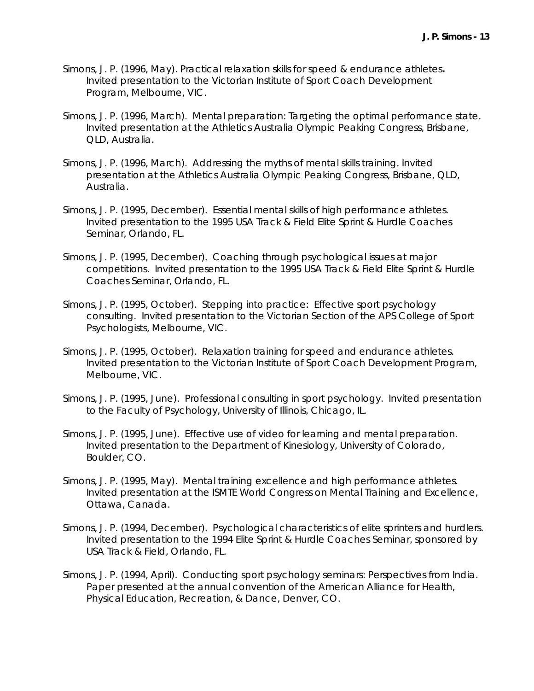- Simons, J. P. (1996, May). *Practical relaxation skills for speed & endurance athletes.* Invited presentation to the Victorian Institute of Sport Coach Development Program, Melbourne, VIC.
- Simons, J. P. (1996, March). *Mental preparation: Targeting the optimal performance state.* Invited presentation at the Athletics Australia Olympic Peaking Congress, Brisbane, QLD, Australia.
- Simons, J. P. (1996, March). *Addressing the myths of mental skills training*. Invited presentation at the Athletics Australia Olympic Peaking Congress, Brisbane, QLD, Australia.
- Simons, J. P. (1995, December). *Essential mental skills of high performance athletes*. Invited presentation to the 1995 USA Track & Field Elite Sprint & Hurdle Coaches Seminar, Orlando, FL.
- Simons, J. P. (1995, December). *Coaching through psychological issues at major competitions*. Invited presentation to the 1995 USA Track & Field Elite Sprint & Hurdle Coaches Seminar, Orlando, FL.
- Simons, J. P. (1995, October). *Stepping into practice: Effective sport psychology consulting*. Invited presentation to the Victorian Section of the APS College of Sport Psychologists, Melbourne, VIC.
- Simons, J. P. (1995, October). *Relaxation training for speed and endurance athletes*. Invited presentation to the Victorian Institute of Sport Coach Development Program, Melbourne, VIC.
- Simons, J. P. (1995, June). *Professional consulting in sport psychology*. Invited presentation to the Faculty of Psychology, University of Illinois, Chicago, IL.
- Simons, J. P. (1995, June). *Effective use of video for learning and mental preparation*. Invited presentation to the Department of Kinesiology, University of Colorado, Boulder, CO.
- Simons, J. P. (1995, May). *Mental training excellence and high performance athletes*. Invited presentation at the ISMTE World Congress on Mental Training and Excellence, Ottawa, Canada.
- Simons, J. P. (1994, December). *Psychological characteristics of elite sprinters and hurdlers*. Invited presentation to the 1994 Elite Sprint & Hurdle Coaches Seminar, sponsored by USA Track & Field, Orlando, FL.
- Simons, J. P. (1994, April). *Conducting sport psychology seminars: Perspectives from India*. Paper presented at the annual convention of the American Alliance for Health, Physical Education, Recreation, & Dance, Denver, CO.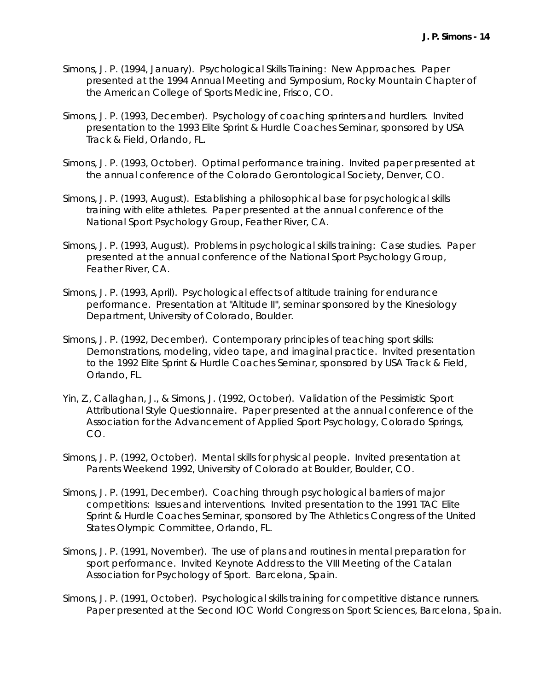- Simons, J. P. (1994, January). *Psychological Skills Training: New Approaches*. Paper presented at the 1994 Annual Meeting and Symposium, Rocky Mountain Chapter of the American College of Sports Medicine, Frisco, CO.
- Simons, J. P. (1993, December). *Psychology of coaching sprinters and hurdlers*. Invited presentation to the 1993 Elite Sprint & Hurdle Coaches Seminar, sponsored by USA Track & Field, Orlando, FL.
- Simons, J. P. (1993, October). *Optimal performance training*. Invited paper presented at the annual conference of the Colorado Gerontological Society, Denver, CO.
- Simons, J. P. (1993, August). *Establishing a philosophical base for psychological skills training with elite athletes*. Paper presented at the annual conference of the National Sport Psychology Group, Feather River, CA.
- Simons, J. P. (1993, August). *Problems in psychological skills training: Case studies*. Paper presented at the annual conference of the National Sport Psychology Group, Feather River, CA.
- Simons, J. P. (1993, April). *Psychological effects of altitude training for endurance performance*. Presentation at "Altitude II", seminar sponsored by the Kinesiology Department, University of Colorado, Boulder.
- Simons, J. P. (1992, December). *Contemporary principles of teaching sport skills: Demonstrations, modeling, video tape, and imaginal practice*. Invited presentation to the 1992 Elite Sprint & Hurdle Coaches Seminar, sponsored by USA Track & Field, Orlando, FL.
- Yin, Z., Callaghan, J., & Simons, J. (1992, October). *Validation of the Pessimistic Sport Attributional Style Questionnaire*. Paper presented at the annual conference of the Association for the Advancement of Applied Sport Psychology, Colorado Springs, CO.
- Simons, J. P. (1992, October). *Mental skills for physical people*. Invited presentation at Parents Weekend 1992, University of Colorado at Boulder, Boulder, CO.
- Simons, J. P. (1991, December). *Coaching through psychological barriers of major competitions: Issues and interventions*. Invited presentation to the 1991 TAC Elite Sprint & Hurdle Coaches Seminar, sponsored by The Athletics Congress of the United States Olympic Committee, Orlando, FL.
- Simons, J. P. (1991, November). *The use of plans and routines in mental preparation for sport performance*. Invited Keynote Address to the VIII Meeting of the Catalan Association for Psychology of Sport. Barcelona, Spain.
- Simons, J. P. (1991, October). *Psychological skills training for competitive distance runners*. Paper presented at the Second IOC World Congress on Sport Sciences, Barcelona, Spain.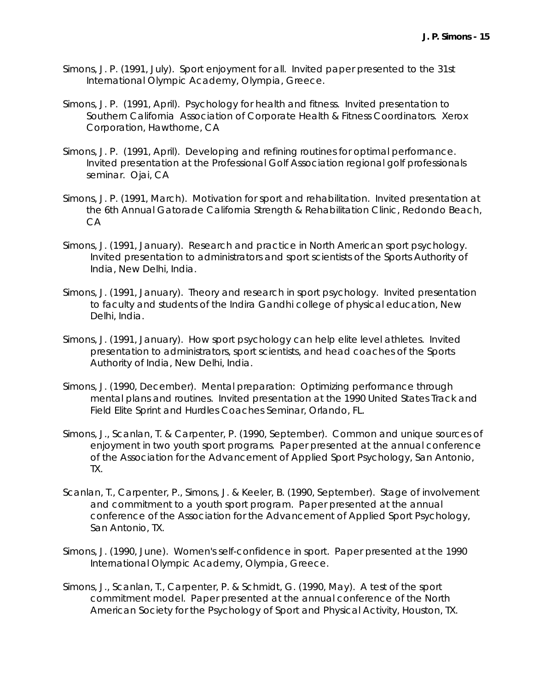- Simons, J. P. (1991, July). *Sport enjoyment for all*. Invited paper presented to the 31st International Olympic Academy, Olympia, Greece.
- Simons, J. P. (1991, April). *Psychology for health and fitness*. Invited presentation to Southern California Association of Corporate Health & Fitness Coordinators. Xerox Corporation, Hawthorne, CA
- Simons, J. P. (1991, April). *Developing and refining routines for optimal performance*. Invited presentation at the Professional Golf Association regional golf professionals seminar. Ojai, CA
- Simons, J. P. (1991, March). *Motivation for sport and rehabilitation*. Invited presentation at the 6th Annual Gatorade California Strength & Rehabilitation Clinic, Redondo Beach, CA
- Simons, J. (1991, January). *Research and practice in North American sport psychology*. Invited presentation to administrators and sport scientists of the Sports Authority of India, New Delhi, India.
- Simons, J. (1991, January). *Theory and research in sport psychology*. Invited presentation to faculty and students of the Indira Gandhi college of physical education, New Delhi, India.
- Simons, J. (1991, January). *How sport psychology can help elite level athletes*. Invited presentation to administrators, sport scientists, and head coaches of the Sports Authority of India, New Delhi, India.
- Simons, J. (1990, December). *Mental preparation: Optimizing performance through mental plans and routines*. Invited presentation at the 1990 United States Track and Field Elite Sprint and Hurdles Coaches Seminar, Orlando, FL.
- Simons, J., Scanlan, T. & Carpenter, P. (1990, September). *Common and unique sources of enjoyment in two youth sport programs*. Paper presented at the annual conference of the Association for the Advancement of Applied Sport Psychology, San Antonio, TX.
- Scanlan, T., Carpenter, P., Simons, J. & Keeler, B. (1990, September). *Stage of involvement and commitment to a youth sport program*. Paper presented at the annual conference of the Association for the Advancement of Applied Sport Psychology, San Antonio, TX.
- Simons, J. (1990, June). *Women's self-confidence in sport*. Paper presented at the 1990 International Olympic Academy, Olympia, Greece.
- Simons, J., Scanlan, T., Carpenter, P. & Schmidt, G. (1990, May). *A test of the sport commitment model*. Paper presented at the annual conference of the North American Society for the Psychology of Sport and Physical Activity, Houston, TX.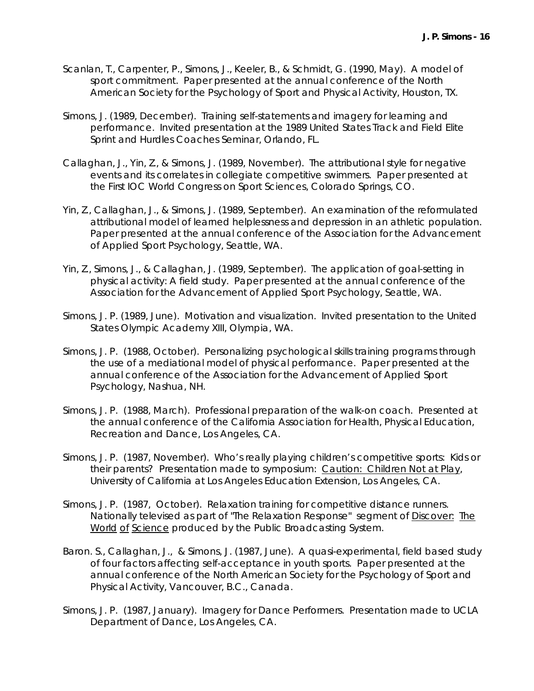- Scanlan, T., Carpenter, P., Simons, J., Keeler, B., & Schmidt, G. (1990, May). *A model of sport commitment*. Paper presented at the annual conference of the North American Society for the Psychology of Sport and Physical Activity, Houston, TX.
- Simons, J. (1989, December). *Training self-statements and imagery for learning and performance*. Invited presentation at the 1989 United States Track and Field Elite Sprint and Hurdles Coaches Seminar, Orlando, FL.
- Callaghan, J., Yin, Z., & Simons, J. (1989, November). *The attributional style for negative events and its correlates in collegiate competitive swimmers*. Paper presented at the First IOC World Congress on Sport Sciences, Colorado Springs, CO.
- Yin, Z., Callaghan, J., & Simons, J. (1989, September). *An examination of the reformulated attributional model of learned helplessness and depression in an athletic population*. Paper presented at the annual conference of the Association for the Advancement of Applied Sport Psychology, Seattle, WA.
- Yin, Z., Simons, J., & Callaghan, J. (1989, September). *The application of goal-setting in physical activity: A field study*. Paper presented at the annual conference of the Association for the Advancement of Applied Sport Psychology, Seattle, WA.
- Simons, J. P. (1989, June). *Motivation and visualization*. Invited presentation to the United States Olympic Academy XIII, Olympia, WA.
- Simons, J. P. (1988, October). *Personalizing psychological skills training programs through the use of a mediational model of physical performance*. Paper presented at the annual conference of the Association for the Advancement of Applied Sport Psychology, Nashua, NH.
- Simons, J. P. (1988, March). *Professional preparation of the walk-on coach*. Presented at the annual conference of the California Association for Health, Physical Education, Recreation and Dance, Los Angeles, CA.
- Simons, J. P. (1987, November). *Who's really playing children's competitive sports: Kids or their parents*? Presentation made to symposium: Caution: Children Not at Play, University of California at Los Angeles Education Extension, Los Angeles, CA.
- Simons, J. P. (1987, October). *Relaxation training for competitive distance runners*. Nationally televised as part of "The Relaxation Response" segment of Discover: The World of Science produced by the Public Broadcasting System.
- Baron. S., Callaghan, J., & Simons, J. (1987, June). *A quasi-experimental, field based study of four factors affecting self-acceptance in youth sports*. Paper presented at the annual conference of the North American Society for the Psychology of Sport and Physical Activity, Vancouver, B.C., Canada.
- Simons, J. P. (1987, January). *Imagery for Dance Performers*. Presentation made to UCLA Department of Dance, Los Angeles, CA.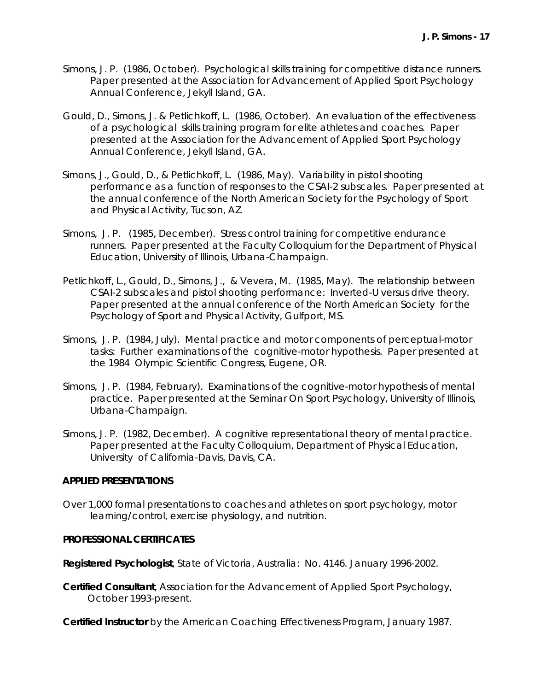- Simons, J. P. (1986, October). *Psychological skills training for competitive distance runners*. Paper presented at the Association for Advancement of Applied Sport Psychology Annual Conference, Jekyll Island, GA.
- Gould, D., Simons, J. & Petlichkoff, L. (1986, October). *An evaluation of the effectiveness of a psychological skills training program for elite athletes and coaches*. Paper presented at the Association for the Advancement of Applied Sport Psychology Annual Conference, Jekyll Island, GA.
- Simons, J., Gould, D., & Petlichkoff, L. (1986, May). *Variability in pistol shooting performance as a function of responses to the CSAI-2 subscales*. Paper presented at the annual conference of the North American Society for the Psychology of Sport and Physical Activity, Tucson, AZ.
- Simons, J. P. (1985, December). *Stress control training for competitive endurance runners*. Paper presented at the Faculty Colloquium for the Department of Physical Education, University of Illinois, Urbana-Champaign.
- Petlichkoff, L., Gould, D., Simons, J., & Vevera, M. (1985, May). *The relationship between CSAI-2 subscales and pistol shooting performance: Inverted-U versus drive theory.* Paper presented at the annual conference of the North American Society for the Psychology of Sport and Physical Activity, Gulfport, MS.
- Simons, J. P. (1984, July). *Mental practice and motor components of perceptual-motor tasks: Further examinations of the cognitive-motor hypothesis*. Paper presented at the 1984 Olympic Scientific Congress, Eugene, OR.
- Simons, J. P. (1984, February). *Examinations of the cognitive-motor hypothesis of mental practice*. Paper presented at the Seminar On Sport Psychology, University of Illinois, Urbana-Champaign.
- Simons, J. P. (1982, December). *A cognitive representational theory of mental practice*. Paper presented at the Faculty Colloquium, Department of Physical Education, University of California-Davis, Davis, CA.

#### **APPLIED PRESENTATIONS**

Over 1,000 formal presentations to coaches and athletes on sport psychology, motor learning/control, exercise physiology, and nutrition.

## **PROFESSIONAL CERTIFICATES**

**Registered Psychologist**, State of Victoria, Australia: No. 4146. January 1996-2002.

**Certified Consultant**, Association for the Advancement of Applied Sport Psychology, October 1993-present.

**Certified Instructor** by the American Coaching Effectiveness Program, January 1987.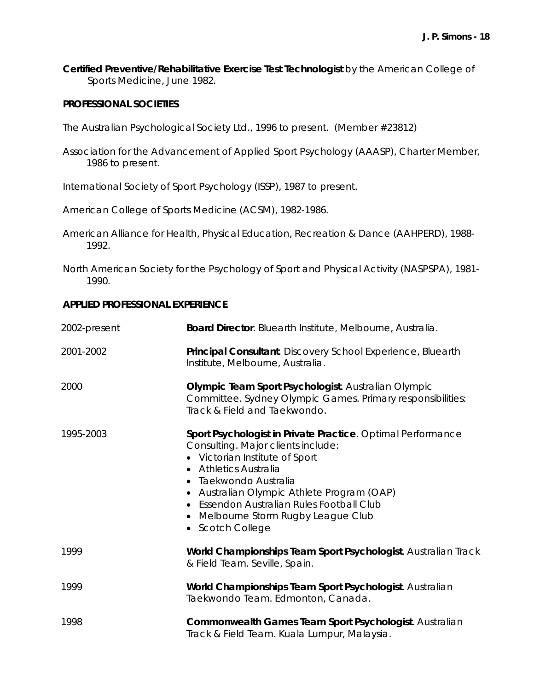**Certified Preventive/Rehabilitative Exercise Test Technologist** by the American College of Sports Medicine, June 1982.

#### **PROFESSIONAL SOCIETIES**

The Australian Psychological Society Ltd., 1996 to present. (Member #23812)

- Association for the Advancement of Applied Sport Psychology (AAASP), Charter Member, 1986 to present.
- International Society of Sport Psychology (ISSP), 1987 to present.
- American College of Sports Medicine (ACSM), 1982-1986.
- American Alliance for Health, Physical Education, Recreation & Dance (AAHPERD), 1988- 1992.
- North American Society for the Psychology of Sport and Physical Activity (NASPSPA), 1981- 1990.

#### **APPLIED PROFESSIONAL EXPERIENCE**

| 2002-present | <b>Board Director</b> . Bluearth Institute, Melbourne, Australia.                                                                                                                                                                                                                                                                         |
|--------------|-------------------------------------------------------------------------------------------------------------------------------------------------------------------------------------------------------------------------------------------------------------------------------------------------------------------------------------------|
| 2001-2002    | Principal Consultant. Discovery School Experience, Bluearth<br>Institute, Melbourne, Australia.                                                                                                                                                                                                                                           |
| 2000         | Olympic Team Sport Psychologist. Australian Olympic<br>Committee. Sydney Olympic Games. Primary responsibilities:<br>Track & Field and Taekwondo.                                                                                                                                                                                         |
| 1995-2003    | Sport Psychologist in Private Practice. Optimal Performance<br>Consulting. Major clients include:<br>• Victorian Institute of Sport<br>• Athletics Australia<br>• Taekwondo Australia<br>• Australian Olympic Athlete Program (OAP)<br>• Essendon Australian Rules Football Club<br>Melbourne Storm Rugby League Club<br>• Scotch College |
| 1999         | World Championships Team Sport Psychologist. Australian Track<br>& Field Team. Seville, Spain.                                                                                                                                                                                                                                            |
| 1999         | World Championships Team Sport Psychologist. Australian<br>Taekwondo Team. Edmonton, Canada.                                                                                                                                                                                                                                              |
| 1998         | Commonwealth Games Team Sport Psychologist. Australian<br>Track & Field Team. Kuala Lumpur, Malaysia.                                                                                                                                                                                                                                     |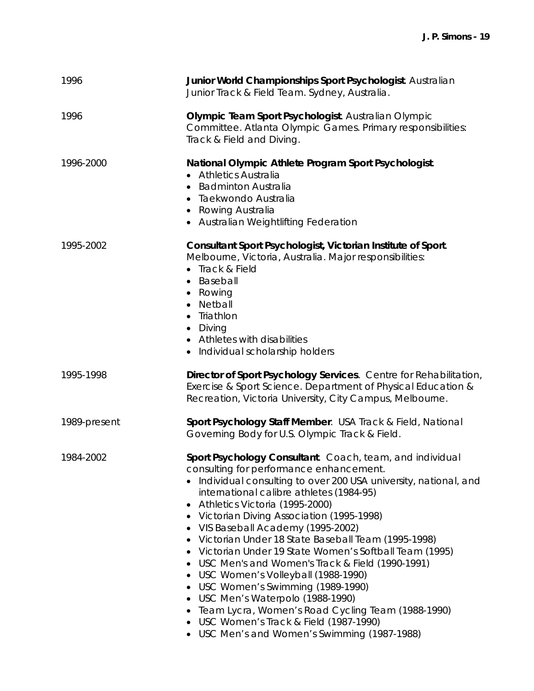| 1996         | Junior World Championships Sport Psychologist. Australian<br>Junior Track & Field Team. Sydney, Australia.                                                                                                                                                                                                                                                                                                                                                                                                                                                                                                                                                                                                                                                                                                                      |
|--------------|---------------------------------------------------------------------------------------------------------------------------------------------------------------------------------------------------------------------------------------------------------------------------------------------------------------------------------------------------------------------------------------------------------------------------------------------------------------------------------------------------------------------------------------------------------------------------------------------------------------------------------------------------------------------------------------------------------------------------------------------------------------------------------------------------------------------------------|
| 1996         | Olympic Team Sport Psychologist. Australian Olympic<br>Committee. Atlanta Olympic Games. Primary responsibilities:<br>Track & Field and Diving.                                                                                                                                                                                                                                                                                                                                                                                                                                                                                                                                                                                                                                                                                 |
| 1996-2000    | National Olympic Athlete Program Sport Psychologist.<br><b>Athletics Australia</b><br>• Badminton Australia<br>Taekwondo Australia<br>Rowing Australia<br>$\bullet$<br>• Australian Weightlifting Federation                                                                                                                                                                                                                                                                                                                                                                                                                                                                                                                                                                                                                    |
| 1995-2002    | Consultant Sport Psychologist, Victorian Institute of Sport.<br>Melbourne, Victoria, Australia. Major responsibilities:<br>• Track & Field<br>• Baseball<br>• Rowing<br>Netball<br>$\bullet$<br>Triathlon<br>$\bullet$<br>• Diving<br>• Athletes with disabilities<br>Individual scholarship holders<br>$\bullet$                                                                                                                                                                                                                                                                                                                                                                                                                                                                                                               |
| 1995-1998    | Director of Sport Psychology Services. Centre for Rehabilitation,<br>Exercise & Sport Science. Department of Physical Education &<br>Recreation, Victoria University, City Campus, Melbourne.                                                                                                                                                                                                                                                                                                                                                                                                                                                                                                                                                                                                                                   |
| 1989-present | Sport Psychology Staff Member. USA Track & Field, National<br>Governing Body for U.S. Olympic Track & Field.                                                                                                                                                                                                                                                                                                                                                                                                                                                                                                                                                                                                                                                                                                                    |
| 1984-2002    | Sport Psychology Consultant. Coach, team, and individual<br>consulting for performance enhancement.<br>Individual consulting to over 200 USA university, national, and<br>international calibre athletes (1984-95)<br>Athletics Victoria (1995-2000)<br>٠<br>Victorian Diving Association (1995-1998)<br>$\bullet$<br>VIS Baseball Academy (1995-2002)<br>$\bullet$<br>Victorian Under 18 State Baseball Team (1995-1998)<br>Victorian Under 19 State Women's Softball Team (1995)<br>USC Men's and Women's Track & Field (1990-1991)<br>٠<br>USC Women's Volleyball (1988-1990)<br>٠<br>USC Women's Swimming (1989-1990)<br>٠<br>USC Men's Waterpolo (1988-1990)<br>$\bullet$<br>Team Lycra, Women's Road Cycling Team (1988-1990)<br>٠<br>USC Women's Track & Field (1987-1990)<br>USC Men's and Women's Swimming (1987-1988) |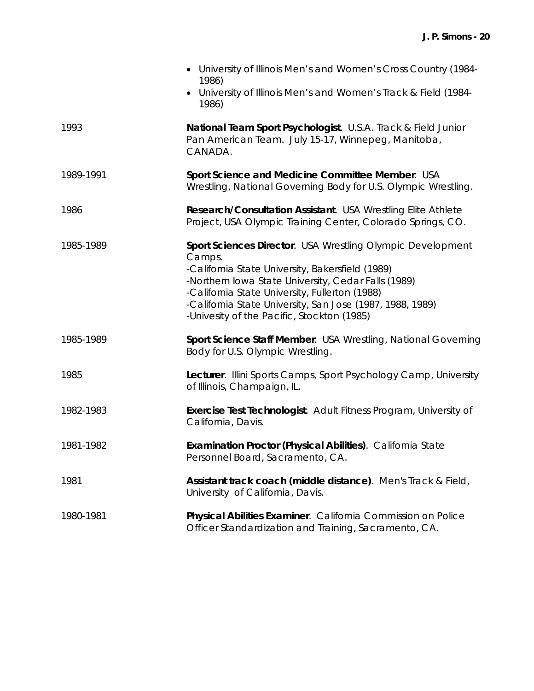|           | • University of Illinois Men's and Women's Cross Country (1984-<br>1986)<br>• University of Illinois Men's and Women's Track & Field (1984-<br>1986)                                                                                                                                                                                         |
|-----------|----------------------------------------------------------------------------------------------------------------------------------------------------------------------------------------------------------------------------------------------------------------------------------------------------------------------------------------------|
| 1993      | National Team Sport Psychologist. U.S.A. Track & Field Junior<br>Pan American Team. July 15-17, Winnepeg, Manitoba,<br>CANADA.                                                                                                                                                                                                               |
| 1989-1991 | Sport Science and Medicine Committee Member. USA<br>Wrestling, National Governing Body for U.S. Olympic Wrestling.                                                                                                                                                                                                                           |
| 1986      | Research/Consultation Assistant. USA Wrestling Elite Athlete<br>Project, USA Olympic Training Center, Colorado Springs, CO.                                                                                                                                                                                                                  |
| 1985-1989 | Sport Sciences Director. USA Wrestling Olympic Development<br>Camps.<br>-California State University, Bakersfield (1989)<br>-Northern Iowa State University, Cedar Falls (1989)<br>-California State University, Fullerton (1988)<br>-California State University, San Jose (1987, 1988, 1989)<br>-Univesity of the Pacific, Stockton (1985) |
| 1985-1989 | Sport Science Staff Member. USA Wrestling, National Governing<br>Body for U.S. Olympic Wrestling.                                                                                                                                                                                                                                            |
| 1985      | Lecturer. Illini Sports Camps, Sport Psychology Camp, University<br>of Illinois, Champaign, IL.                                                                                                                                                                                                                                              |
| 1982-1983 | <b>Exercise Test Technologist.</b> Adult Fitness Program, University of<br>California, Davis.                                                                                                                                                                                                                                                |
| 1981-1982 | Examination Proctor (Physical Abilities). California State<br>Personnel Board, Sacramento, CA.                                                                                                                                                                                                                                               |
| 1981      | Assistant track coach (middle distance). Men's Track & Field,<br>University of California, Davis.                                                                                                                                                                                                                                            |
| 1980-1981 | Physical Abilities Examiner. California Commission on Police<br>Officer Standardization and Training, Sacramento, CA.                                                                                                                                                                                                                        |